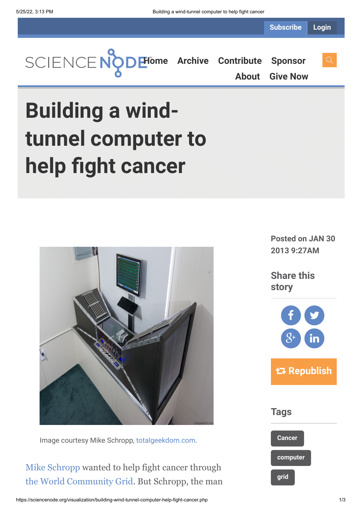**Subscribe Login**



**[About](https://sciencenode.org/about/index.php) [Give Now](https://sciencenode.org/donate/index.php)**

# **Building a windtunnel computer to help fight cancer**



Image courtesy Mike Schropp, [totalgeekdom.com](http://www.totalgeekdom.com/).

[Mike Schropp](https://twitter.com/_totalgeekdom_) wanted to help fight cancer through [the World Community Grid.](http://www.worldcommunitygrid.org/research/hcc1/overview.do) But Schropp, the man **Posted on JAN 30 2013 9:27AM**

**Share this story**



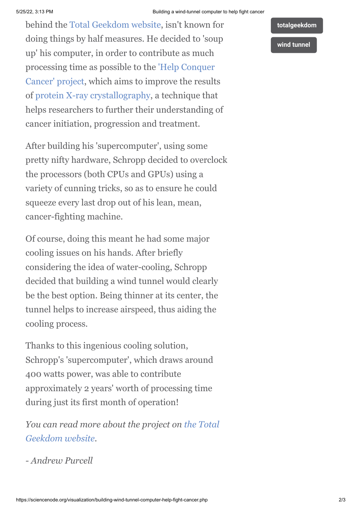behind the [Total Geekdom website,](http://www.totalgeekdom.com/) isn't known for doing things by half measures. He decided to 'soup up' his computer, in order to contribute as much [processing time as possible to the 'Help Conquer](http://www.worldcommunitygrid.org/research/hcc1/overview.do) Cancer' project, which aims to improve the results of [protein X-ray crystallography,](http://en.wikipedia.org/wiki/X-ray_crystallography) a technique that helps researchers to further their understanding of cancer initiation, progression and treatment.

After building his 'supercomputer', using some pretty nifty hardware, Schropp decided to overclock the processors (both CPUs and GPUs) using a variety of cunning tricks, so as to ensure he could squeeze every last drop out of his lean, mean, cancer-fighting machine.

Of course, doing this meant he had some major cooling issues on his hands. After briefly considering the idea of water-cooling, Schropp decided that building a wind tunnel would clearly be the best option. Being thinner at its center, the tunnel helps to increase airspeed, thus aiding the cooling process.

Thanks to this ingenious cooling solution, Schropp's 'supercomputer', which draws around 400 watts power, was able to contribute approximately 2 years' worth of processing time during just its first month of operation!

*[You can read more about the project on the Total](http://www.totalgeekdom.com/) Geekdom website.*

*- Andrew Purcell*

## **[wind tunnel](https://sciencenode.org/tag/?tag=wind%20tunnel)**